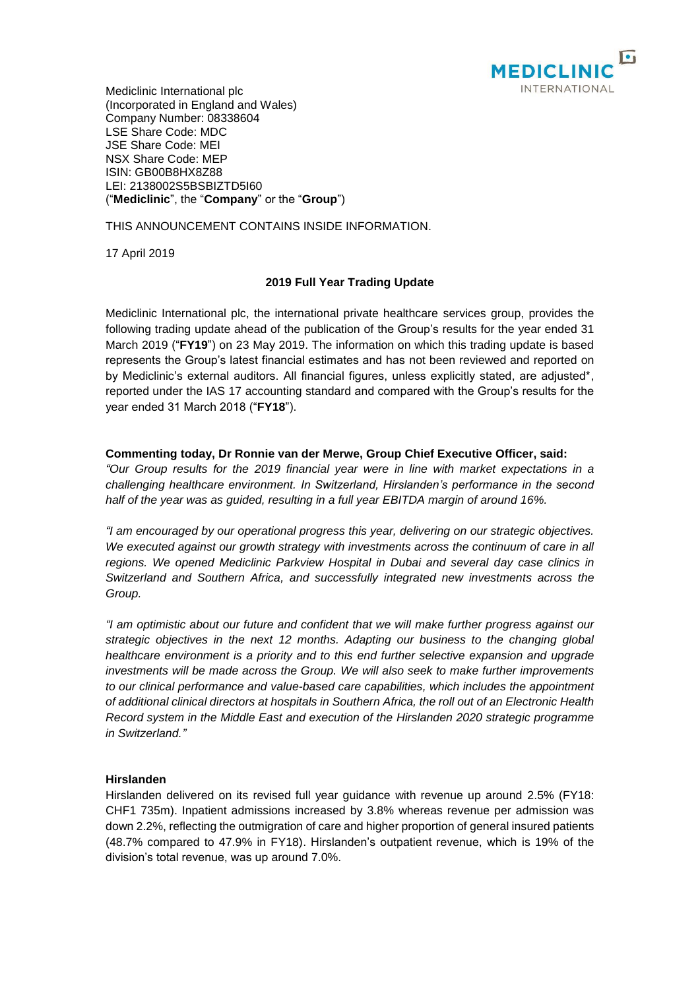

Mediclinic International plc (Incorporated in England and Wales) Company Number: 08338604 LSE Share Code: MDC JSE Share Code: MEI NSX Share Code: MEP ISIN: GB00B8HX8Z88 LEI: 2138002S5BSBIZTD5I60 ("**Mediclinic**", the "**Company**" or the "**Group**")

THIS ANNOUNCEMENT CONTAINS INSIDE INFORMATION.

17 April 2019

# **2019 Full Year Trading Update**

Mediclinic International plc, the international private healthcare services group, provides the following trading update ahead of the publication of the Group's results for the year ended 31 March 2019 ("**FY19**") on 23 May 2019. The information on which this trading update is based represents the Group's latest financial estimates and has not been reviewed and reported on by Mediclinic's external auditors. All financial figures, unless explicitly stated, are adjusted\*, reported under the IAS 17 accounting standard and compared with the Group's results for the year ended 31 March 2018 ("**FY18**").

# **Commenting today, Dr Ronnie van der Merwe, Group Chief Executive Officer, said:**

*"Our Group results for the 2019 financial year were in line with market expectations in a challenging healthcare environment. In Switzerland, Hirslanden's performance in the second half of the year was as guided, resulting in a full year EBITDA margin of around 16%.*

*"I am encouraged by our operational progress this year, delivering on our strategic objectives.*  We executed against our growth strategy with investments across the continuum of care in all *regions. We opened Mediclinic Parkview Hospital in Dubai and several day case clinics in Switzerland and Southern Africa, and successfully integrated new investments across the Group.* 

*"I am optimistic about our future and confident that we will make further progress against our strategic objectives in the next 12 months. Adapting our business to the changing global healthcare environment is a priority and to this end further selective expansion and upgrade investments will be made across the Group. We will also seek to make further improvements to our clinical performance and value-based care capabilities, which includes the appointment of additional clinical directors at hospitals in Southern Africa, the roll out of an Electronic Health Record system in the Middle East and execution of the Hirslanden 2020 strategic programme in Switzerland."*

# **Hirslanden**

Hirslanden delivered on its revised full year guidance with revenue up around 2.5% (FY18: CHF1 735m). Inpatient admissions increased by 3.8% whereas revenue per admission was down 2.2%, reflecting the outmigration of care and higher proportion of general insured patients (48.7% compared to 47.9% in FY18). Hirslanden's outpatient revenue, which is 19% of the division's total revenue, was up around 7.0%.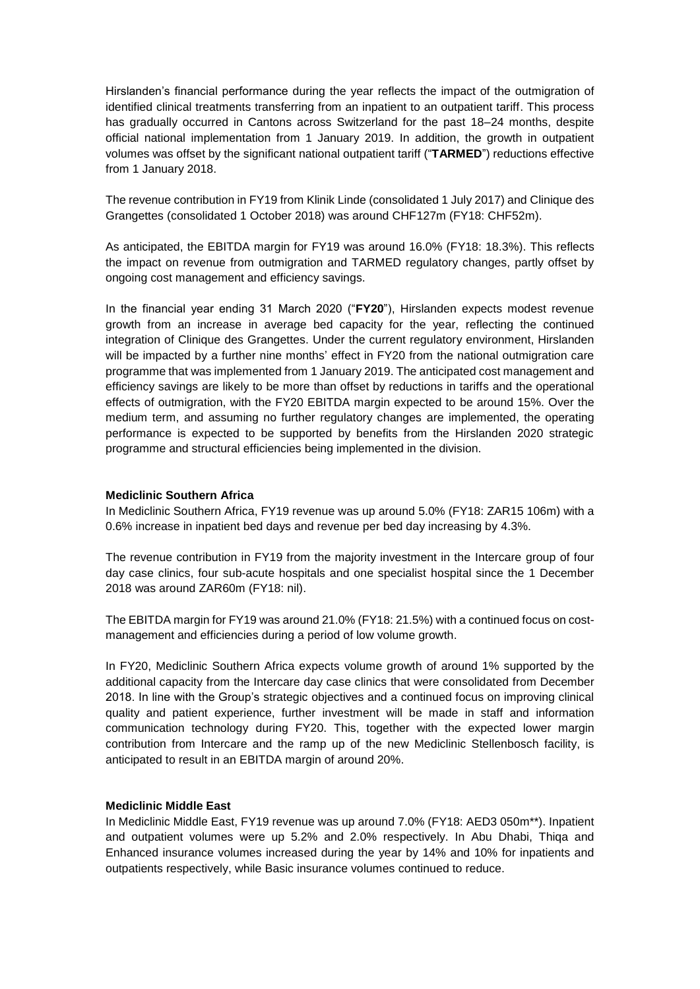Hirslanden's financial performance during the year reflects the impact of the outmigration of identified clinical treatments transferring from an inpatient to an outpatient tariff. This process has gradually occurred in Cantons across Switzerland for the past 18–24 months, despite official national implementation from 1 January 2019. In addition, the growth in outpatient volumes was offset by the significant national outpatient tariff ("**TARMED**") reductions effective from 1 January 2018.

The revenue contribution in FY19 from Klinik Linde (consolidated 1 July 2017) and Clinique des Grangettes (consolidated 1 October 2018) was around CHF127m (FY18: CHF52m).

As anticipated, the EBITDA margin for FY19 was around 16.0% (FY18: 18.3%). This reflects the impact on revenue from outmigration and TARMED regulatory changes, partly offset by ongoing cost management and efficiency savings.

In the financial year ending 31 March 2020 ("**FY20**"), Hirslanden expects modest revenue growth from an increase in average bed capacity for the year, reflecting the continued integration of Clinique des Grangettes. Under the current regulatory environment, Hirslanden will be impacted by a further nine months' effect in FY20 from the national outmigration care programme that was implemented from 1 January 2019. The anticipated cost management and efficiency savings are likely to be more than offset by reductions in tariffs and the operational effects of outmigration, with the FY20 EBITDA margin expected to be around 15%. Over the medium term, and assuming no further regulatory changes are implemented, the operating performance is expected to be supported by benefits from the Hirslanden 2020 strategic programme and structural efficiencies being implemented in the division.

### **Mediclinic Southern Africa**

In Mediclinic Southern Africa, FY19 revenue was up around 5.0% (FY18: ZAR15 106m) with a 0.6% increase in inpatient bed days and revenue per bed day increasing by 4.3%.

The revenue contribution in FY19 from the majority investment in the Intercare group of four day case clinics, four sub-acute hospitals and one specialist hospital since the 1 December 2018 was around ZAR60m (FY18: nil).

The EBITDA margin for FY19 was around 21.0% (FY18: 21.5%) with a continued focus on costmanagement and efficiencies during a period of low volume growth.

In FY20, Mediclinic Southern Africa expects volume growth of around 1% supported by the additional capacity from the Intercare day case clinics that were consolidated from December 2018. In line with the Group's strategic objectives and a continued focus on improving clinical quality and patient experience, further investment will be made in staff and information communication technology during FY20. This, together with the expected lower margin contribution from Intercare and the ramp up of the new Mediclinic Stellenbosch facility, is anticipated to result in an EBITDA margin of around 20%.

# **Mediclinic Middle East**

In Mediclinic Middle East, FY19 revenue was up around 7.0% (FY18: AED3 050m\*\*). Inpatient and outpatient volumes were up 5.2% and 2.0% respectively. In Abu Dhabi, Thiqa and Enhanced insurance volumes increased during the year by 14% and 10% for inpatients and outpatients respectively, while Basic insurance volumes continued to reduce.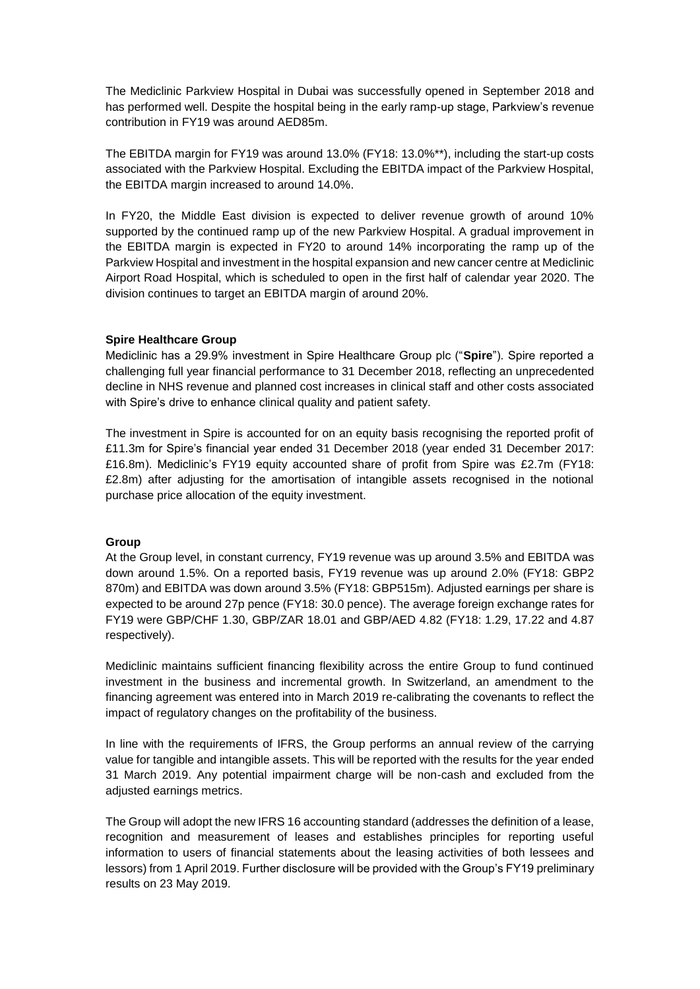The Mediclinic Parkview Hospital in Dubai was successfully opened in September 2018 and has performed well. Despite the hospital being in the early ramp-up stage, Parkview's revenue contribution in FY19 was around AED85m.

The EBITDA margin for FY19 was around 13.0% (FY18: 13.0%\*\*), including the start-up costs associated with the Parkview Hospital. Excluding the EBITDA impact of the Parkview Hospital, the EBITDA margin increased to around 14.0%.

In FY20, the Middle East division is expected to deliver revenue growth of around 10% supported by the continued ramp up of the new Parkview Hospital. A gradual improvement in the EBITDA margin is expected in FY20 to around 14% incorporating the ramp up of the Parkview Hospital and investment in the hospital expansion and new cancer centre at Mediclinic Airport Road Hospital, which is scheduled to open in the first half of calendar year 2020. The division continues to target an EBITDA margin of around 20%.

# **Spire Healthcare Group**

Mediclinic has a 29.9% investment in Spire Healthcare Group plc ("**Spire**"). Spire reported a challenging full year financial performance to 31 December 2018, reflecting an unprecedented decline in NHS revenue and planned cost increases in clinical staff and other costs associated with Spire's drive to enhance clinical quality and patient safety.

The investment in Spire is accounted for on an equity basis recognising the reported profit of £11.3m for Spire's financial year ended 31 December 2018 (year ended 31 December 2017: £16.8m). Mediclinic's FY19 equity accounted share of profit from Spire was £2.7m (FY18: £2.8m) after adjusting for the amortisation of intangible assets recognised in the notional purchase price allocation of the equity investment.

### **Group**

At the Group level, in constant currency, FY19 revenue was up around 3.5% and EBITDA was down around 1.5%. On a reported basis, FY19 revenue was up around 2.0% (FY18: GBP2 870m) and EBITDA was down around 3.5% (FY18: GBP515m). Adjusted earnings per share is expected to be around 27p pence (FY18: 30.0 pence). The average foreign exchange rates for FY19 were GBP/CHF 1.30, GBP/ZAR 18.01 and GBP/AED 4.82 (FY18: 1.29, 17.22 and 4.87 respectively).

Mediclinic maintains sufficient financing flexibility across the entire Group to fund continued investment in the business and incremental growth. In Switzerland, an amendment to the financing agreement was entered into in March 2019 re-calibrating the covenants to reflect the impact of regulatory changes on the profitability of the business.

In line with the requirements of IFRS, the Group performs an annual review of the carrying value for tangible and intangible assets. This will be reported with the results for the year ended 31 March 2019. Any potential impairment charge will be non-cash and excluded from the adjusted earnings metrics.

The Group will adopt the new IFRS 16 accounting standard (addresses the definition of a lease, recognition and measurement of leases and establishes principles for reporting useful information to users of financial statements about the leasing activities of both lessees and lessors) from 1 April 2019. Further disclosure will be provided with the Group's FY19 preliminary results on 23 May 2019.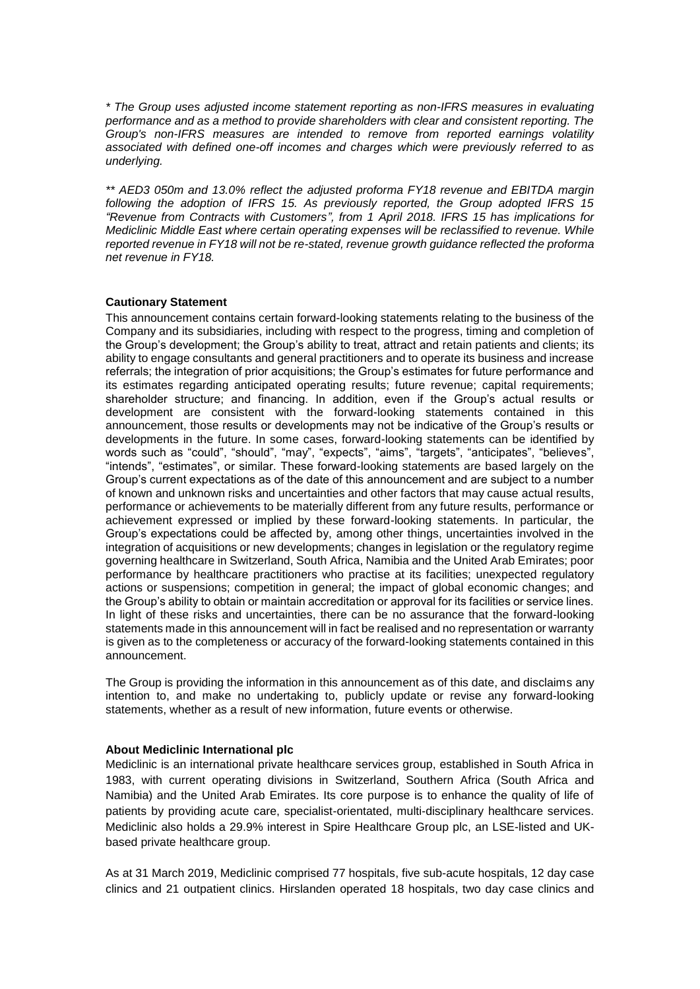*\* The Group uses adjusted income statement reporting as non-IFRS measures in evaluating performance and as a method to provide shareholders with clear and consistent reporting. The Group's non-IFRS measures are intended to remove from reported earnings volatility associated with defined one-off incomes and charges which were previously referred to as underlying.*

*\*\* AED3 050m and 13.0% reflect the adjusted proforma FY18 revenue and EBITDA margin following the adoption of IFRS 15. As previously reported, the Group adopted IFRS 15 "Revenue from Contracts with Customers", from 1 April 2018. IFRS 15 has implications for Mediclinic Middle East where certain operating expenses will be reclassified to revenue. While reported revenue in FY18 will not be re-stated, revenue growth guidance reflected the proforma net revenue in FY18.*

# **Cautionary Statement**

This announcement contains certain forward-looking statements relating to the business of the Company and its subsidiaries, including with respect to the progress, timing and completion of the Group's development; the Group's ability to treat, attract and retain patients and clients; its ability to engage consultants and general practitioners and to operate its business and increase referrals; the integration of prior acquisitions; the Group's estimates for future performance and its estimates regarding anticipated operating results; future revenue; capital requirements; shareholder structure; and financing. In addition, even if the Group's actual results or development are consistent with the forward-looking statements contained in this announcement, those results or developments may not be indicative of the Group's results or developments in the future. In some cases, forward-looking statements can be identified by words such as "could", "should", "may", "expects", "aims", "targets", "anticipates", "believes", "intends", "estimates", or similar. These forward-looking statements are based largely on the Group's current expectations as of the date of this announcement and are subject to a number of known and unknown risks and uncertainties and other factors that may cause actual results, performance or achievements to be materially different from any future results, performance or achievement expressed or implied by these forward-looking statements. In particular, the Group's expectations could be affected by, among other things, uncertainties involved in the integration of acquisitions or new developments; changes in legislation or the regulatory regime governing healthcare in Switzerland, South Africa, Namibia and the United Arab Emirates; poor performance by healthcare practitioners who practise at its facilities; unexpected regulatory actions or suspensions; competition in general; the impact of global economic changes; and the Group's ability to obtain or maintain accreditation or approval for its facilities or service lines. In light of these risks and uncertainties, there can be no assurance that the forward-looking statements made in this announcement will in fact be realised and no representation or warranty is given as to the completeness or accuracy of the forward-looking statements contained in this announcement.

The Group is providing the information in this announcement as of this date, and disclaims any intention to, and make no undertaking to, publicly update or revise any forward-looking statements, whether as a result of new information, future events or otherwise.

### **About Mediclinic International plc**

Mediclinic is an international private healthcare services group, established in South Africa in 1983, with current operating divisions in Switzerland, Southern Africa (South Africa and Namibia) and the United Arab Emirates. Its core purpose is to enhance the quality of life of patients by providing acute care, specialist-orientated, multi-disciplinary healthcare services. Mediclinic also holds a 29.9% interest in Spire Healthcare Group plc, an LSE-listed and UKbased private healthcare group.

As at 31 March 2019, Mediclinic comprised 77 hospitals, five sub-acute hospitals, 12 day case clinics and 21 outpatient clinics. Hirslanden operated 18 hospitals, two day case clinics and